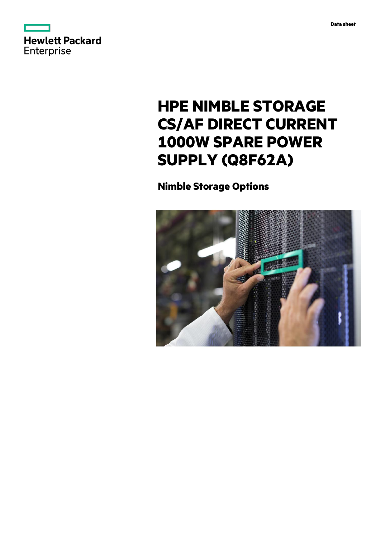



# **HPE NIMBLE STORAGE CS/AF DIRECT CURRENT 1000W SPARE POWER SUPPLY (Q8F62A)**

**Nimble Storage Options**